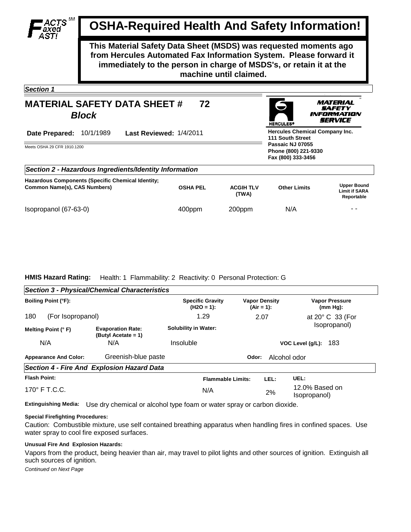# **OSHA-Required Health And Safety Information!**

**This Material Safety Data Sheet (MSDS) was requested moments ago from Hercules Automated Fax Information System. Please forward it immediately to the person in charge of MSDS's, or retain it at the machine until claimed.**

*Section 1* 

#### **MATERIAL SAFETY DATA SHEET #** *Block* **72**



MATERIAL іАҒЕТҮ FORMATION *IERVICE* 

| Last Reviewed: 1/4/2011<br>Date Prepared:<br>10/1/1989                                   |                 |                                                                | <b>Hercules Chemical Company Inc.</b><br><b>111 South Street</b> |                                                          |  |  |  |
|------------------------------------------------------------------------------------------|-----------------|----------------------------------------------------------------|------------------------------------------------------------------|----------------------------------------------------------|--|--|--|
| Meets OSHA 29 CFR 1910.1200                                                              |                 | Passaic NJ 07055<br>Phone (800) 221-9330<br>Fax (800) 333-3456 |                                                                  |                                                          |  |  |  |
| Section 2 - Hazardous Ingredients/Identity Information                                   |                 |                                                                |                                                                  |                                                          |  |  |  |
| <b>Hazardous Components (Specific Chemical Identity;</b><br>Common Name(s), CAS Numbers) | <b>OSHA PEL</b> | <b>ACGIH TLV</b><br>(TWA)                                      | <b>Other Limits</b>                                              | <b>Upper Bound</b><br><b>Limit if SARA</b><br>Reportable |  |  |  |
| Isopropanol (67-63-0)                                                                    | 400ppm          | 200ppm                                                         | N/A                                                              | - -                                                      |  |  |  |

## **HMIS Hazard Rating:** Health: 1 Flammability: 2 Reactivity: 0 Personal Protection: G

|                                                     | <b>Section 3 - Physical/Chemical Characteristics</b> |                                         |                          |                                      |                                      |
|-----------------------------------------------------|------------------------------------------------------|-----------------------------------------|--------------------------|--------------------------------------|--------------------------------------|
| Boiling Point (°F):                                 |                                                      | <b>Specific Gravity</b><br>$(H2O = 1):$ |                          | <b>Vapor Density</b><br>$(Air = 1):$ | <b>Vapor Pressure</b><br>$(mm Hq)$ : |
| 180<br>(For Isopropanol)                            |                                                      | 1.29                                    |                          | 2.07                                 | at $20^{\circ}$ C 33 (For            |
| Melting Point (°F)                                  | <b>Evaporation Rate:</b><br>(Butyl Acetate = $1$ )   | <b>Solubility in Water:</b>             |                          |                                      | Isopropanol)                         |
| N/A                                                 | N/A                                                  | Insoluble                               |                          |                                      | 183<br>VOC Level (g/L):              |
| Greenish-blue paste<br><b>Appearance And Color:</b> |                                                      |                                         | Alcohol odor<br>Odor:    |                                      |                                      |
|                                                     | Section 4 - Fire And Explosion Hazard Data           |                                         |                          |                                      |                                      |
| <b>Flash Point:</b>                                 |                                                      |                                         | <b>Flammable Limits:</b> | LEL:                                 | UEL:                                 |
| $170^\circ$ F T.C.C.                                |                                                      |                                         | N/A                      | 2%                                   | 12.0% Based on<br>(Isopropanol       |

**Extinguishing Media:** Use dry chemical or alcohol type foam or water spray or carbon dioxide.

## **Special Firefighting Procedures:**

Caution: Combustible mixture, use self contained breathing apparatus when handling fires in confined spaces. Use water spray to cool fire exposed surfaces.

### **Unusual Fire And Explosion Hazards:**

Vapors from the product, being heavier than air, may travel to pilot lights and other sources of ignition. Extinguish all such sources of ignition.

*Continued on Next Page*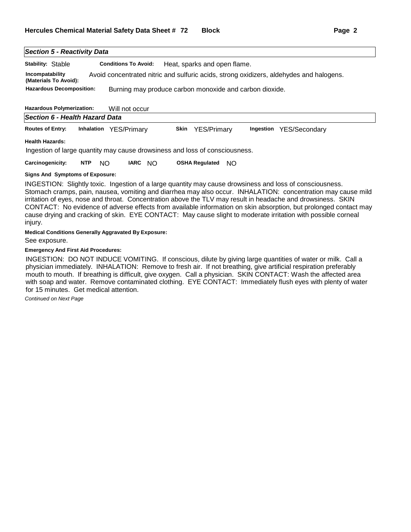| <b>Section 5 - Reactivity Data</b>       |                                                                                                                                                                                                                                                                                                                                                                          |  |
|------------------------------------------|--------------------------------------------------------------------------------------------------------------------------------------------------------------------------------------------------------------------------------------------------------------------------------------------------------------------------------------------------------------------------|--|
| Stability: Stable                        | <b>Conditions To Avoid:</b><br>Heat, sparks and open flame.                                                                                                                                                                                                                                                                                                              |  |
| Incompatability<br>(Materials To Avoid): | Avoid concentrated nitric and sulfuric acids, strong oxidizers, aldehydes and halogens.                                                                                                                                                                                                                                                                                  |  |
| <b>Hazardous Decomposition:</b>          | Burning may produce carbon monoxide and carbon dioxide.                                                                                                                                                                                                                                                                                                                  |  |
| <b>Hazardous Polymerization:</b>         | Will not occur                                                                                                                                                                                                                                                                                                                                                           |  |
| Section 6 - Health Hazard Data           |                                                                                                                                                                                                                                                                                                                                                                          |  |
| <b>Routes of Entry:</b>                  | Inhalation YES/Primary<br>Skin<br><b>YES/Primary</b><br>Ingestion<br>YES/Secondary                                                                                                                                                                                                                                                                                       |  |
| <b>Health Hazards:</b>                   |                                                                                                                                                                                                                                                                                                                                                                          |  |
|                                          | Ingestion of large quantity may cause drowsiness and loss of consciousness.                                                                                                                                                                                                                                                                                              |  |
| Carcinogenicity:                         | <b>OSHA Regulated</b><br>NTP<br>IARC NO<br>NO.<br>NO.                                                                                                                                                                                                                                                                                                                    |  |
| <b>Signs And Symptoms of Exposure:</b>   |                                                                                                                                                                                                                                                                                                                                                                          |  |
|                                          | INGESTION: Slightly toxic. Ingestion of a large quantity may cause drowsiness and loss of consciousness.<br>Stomach cramps, pain, nausea, vomiting and diarrhea may also occur. INHALATION: concentration may cause mild<br>$\sim$ . The contract of $\bigcap_{i=1}^n$ is a set of the contract $\bigcap_{i=1}^n V$ is a contract of the contract of $\bigcap_{i=1}^n V$ |  |

irritation of eyes, nose and throat. Concentration above the TLV may result in headache and drowsiness. SKIN CONTACT: No evidence of adverse effects from available information on skin absorption, but prolonged contact may cause drying and cracking of skin. EYE CONTACT: May cause slight to moderate irritation with possible corneal injury.

**Medical Conditions Generally Aggravated By Exposure:**

See exposure.

**Emergency And First Aid Procedures:**

INGESTION: DO NOT INDUCE VOMITING. If conscious, dilute by giving large quantities of water or milk. Call a physician immediately. INHALATION: Remove to fresh air. If not breathing, give artificial respiration preferably mouth to mouth. If breathing is difficult, give oxygen. Call a physician. SKIN CONTACT: Wash the affected area with soap and water. Remove contaminated clothing. EYE CONTACT: Immediately flush eyes with plenty of water for 15 minutes. Get medical attention.

*Continued on Next Page*